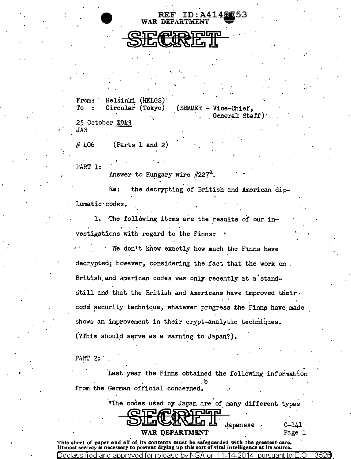WAR DEPARTMENT

**REF ID:A4148753** 

'I

, .

From: To Helsinki (HELGS). Circular (Tokyo) (SUMMER - Vice-Chief, 25 October 1943 General Staff) ., JAS

 $# 406$  (Parts 1 and 2)

PART 1:

Answer to Hungary wire  $#227<sup>a</sup>$ .

Re: the decrypting of British and American diplomatic·codas.

1. The following items are the results of our investigations with regard to the Finns:

We don't know exactly how much the Finns have decrypted; however, considering the fact that the work on British.and American codes was only recently at a'stand- .. still and that the British and Americans have improved their $\epsilon$ code security technique, whatever progress the Finns have made shows an improvement in their crypt-analytic techniques. (?This should serve as a warning to Japan?).

PART 2:

lassified and approved

II

Last year the Finns obtained the following information from the German official concerned.

"The codes used by Japan are of many different types

~~·Japan~se

C-141 Page 1

WAR DEPARTMENT Pa<sub>i</sub><br>This sheet of paper and all of its contents must be safeguarded with the greatest care. Utmost secrecy is necessary to prevent drying up this sort of vital intelligence at its source.